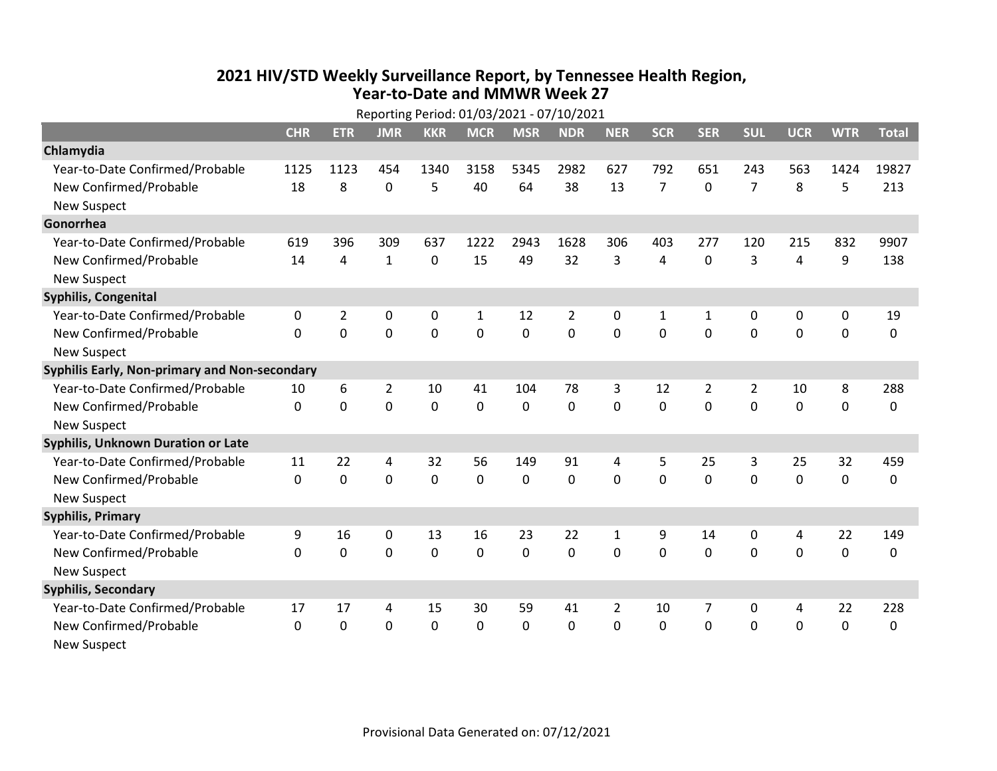## 2021 HIV/STD Weekly Surveillance Report, by Tennessee Health Region, Year-to-Date and MMWR Week 27

| Reporting Period: 01/03/2021 - 07/10/2021     |            |                |                |             |              |              |             |                |                |                |                |             |             |              |
|-----------------------------------------------|------------|----------------|----------------|-------------|--------------|--------------|-------------|----------------|----------------|----------------|----------------|-------------|-------------|--------------|
|                                               | <b>CHR</b> | <b>ETR</b>     | <b>JMR</b>     | <b>KKR</b>  | <b>MCR</b>   | <b>MSR</b>   | <b>NDR</b>  | <b>NER</b>     | <b>SCR</b>     | <b>SER</b>     | <b>SUL</b>     | <b>UCR</b>  | <b>WTR</b>  | <b>Total</b> |
| Chlamydia                                     |            |                |                |             |              |              |             |                |                |                |                |             |             |              |
| Year-to-Date Confirmed/Probable               | 1125       | 1123           | 454            | 1340        | 3158         | 5345         | 2982        | 627            | 792            | 651            | 243            | 563         | 1424        | 19827        |
| New Confirmed/Probable                        | 18         | 8              | 0              | 5           | 40           | 64           | 38          | 13             | $\overline{7}$ | 0              | $\overline{7}$ | 8           | 5           | 213          |
| <b>New Suspect</b>                            |            |                |                |             |              |              |             |                |                |                |                |             |             |              |
| Gonorrhea                                     |            |                |                |             |              |              |             |                |                |                |                |             |             |              |
| Year-to-Date Confirmed/Probable               | 619        | 396            | 309            | 637         | 1222         | 2943         | 1628        | 306            | 403            | 277            | 120            | 215         | 832         | 9907         |
| New Confirmed/Probable                        | 14         | 4              | $\mathbf{1}$   | $\mathbf 0$ | 15           | 49           | 32          | 3              | 4              | 0              | 3              | 4           | 9           | 138          |
| <b>New Suspect</b>                            |            |                |                |             |              |              |             |                |                |                |                |             |             |              |
| <b>Syphilis, Congenital</b>                   |            |                |                |             |              |              |             |                |                |                |                |             |             |              |
| Year-to-Date Confirmed/Probable               | 0          | $\overline{2}$ | 0              | 0           | 1            | 12           | 2           | 0              | 1              | 1              | 0              | 0           | 0           | 19           |
| New Confirmed/Probable                        | $\Omega$   | $\mathbf 0$    | 0              | $\mathbf 0$ | $\mathbf 0$  | $\mathbf 0$  | $\mathbf 0$ | $\overline{0}$ | $\mathbf{0}$   | $\overline{0}$ | $\mathbf 0$    | $\mathbf 0$ | $\mathbf 0$ | $\mathbf 0$  |
| <b>New Suspect</b>                            |            |                |                |             |              |              |             |                |                |                |                |             |             |              |
| Syphilis Early, Non-primary and Non-secondary |            |                |                |             |              |              |             |                |                |                |                |             |             |              |
| Year-to-Date Confirmed/Probable               | 10         | 6              | $\overline{2}$ | 10          | 41           | 104          | 78          | 3              | 12             | $\overline{2}$ | 2              | 10          | 8           | 288          |
| New Confirmed/Probable                        | 0          | 0              | 0              | $\mathbf 0$ | $\mathbf 0$  | $\mathbf 0$  | $\mathbf 0$ | 0              | $\mathbf 0$    | 0              | $\mathbf 0$    | $\mathbf 0$ | $\mathbf 0$ | $\mathbf 0$  |
| <b>New Suspect</b>                            |            |                |                |             |              |              |             |                |                |                |                |             |             |              |
| <b>Syphilis, Unknown Duration or Late</b>     |            |                |                |             |              |              |             |                |                |                |                |             |             |              |
| Year-to-Date Confirmed/Probable               | 11         | 22             | 4              | 32          | 56           | 149          | 91          | 4              | 5              | 25             | 3              | 25          | 32          | 459          |
| New Confirmed/Probable                        | $\Omega$   | $\Omega$       | 0              | $\Omega$    | $\mathbf 0$  | $\mathbf 0$  | 0           | $\Omega$       | $\Omega$       | $\Omega$       | $\mathbf 0$    | $\Omega$    | 0           | $\mathbf 0$  |
| <b>New Suspect</b>                            |            |                |                |             |              |              |             |                |                |                |                |             |             |              |
| <b>Syphilis, Primary</b>                      |            |                |                |             |              |              |             |                |                |                |                |             |             |              |
| Year-to-Date Confirmed/Probable               | 9          | 16             | 0              | 13          | 16           | 23           | 22          | 1              | 9              | 14             | 0              | 4           | 22          | 149          |
| New Confirmed/Probable                        | $\Omega$   | 0              | 0              | $\mathbf 0$ | $\mathbf 0$  | $\mathbf 0$  | $\mathbf 0$ | $\mathbf{0}$   | $\Omega$       | $\Omega$       | $\mathbf 0$    | $\mathbf 0$ | $\mathbf 0$ | $\mathbf 0$  |
| <b>New Suspect</b>                            |            |                |                |             |              |              |             |                |                |                |                |             |             |              |
| <b>Syphilis, Secondary</b>                    |            |                |                |             |              |              |             |                |                |                |                |             |             |              |
| Year-to-Date Confirmed/Probable               | 17         | 17             | 4              | 15          | 30           | 59           | 41          | $\overline{2}$ | 10             | 7              | 0              | 4           | 22          | 228          |
| New Confirmed/Probable                        | 0          | $\mathbf{0}$   | 0              | $\Omega$    | $\mathbf{0}$ | $\mathbf{0}$ | $\Omega$    | 0              | 0              | 0              | $\mathbf 0$    | $\mathbf 0$ | $\mathbf 0$ | 0            |
| <b>New Suspect</b>                            |            |                |                |             |              |              |             |                |                |                |                |             |             |              |